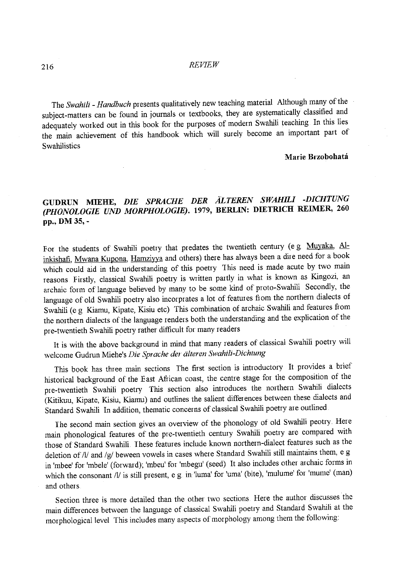### 216 *REVIEW*

The *Swahili- Handbuch* presents qualitatively new teaching material Although many of the subject-matters can be found in journals or textbooks, they are systematically classified and adequately worked out in this book for the purposes of modern Swahili teaching In this lies the main achievement of this handbook which will surely become an important part of Swahilistics

#### **Marie Brzobohata**

# **GUDRUN MIEHE,** *DIE SPRACHE DER ALTEREN SWAHILI -DICHTUNG (PHONOLOGIE UND MORPHOLOGIE).* **1979, BERLIN: DIETRICH REIMER, 260 pp., DM 35,-**

For the students of Swahili poetry that predates the twentieth century (e g Muyaka, Alinkishafi, Mwana Kupona, Hamziyya and others) there has always been a dire need for a book which could aid in the understanding of this poetry This need is made acute by two main reasons Firstly, classical Swahili poetry is written partly in what is known as Kingozi, an archaic form of language believed by many to be some kind of proto-Swahili Secondly, the language of old Swahili poetry also incorprates a lot of features from the northern dialects of Swahili (e g Kiamu, Kipate, Kisiu etc) This combination of archaic Swahili and features from the northern dialects of the language renders both the understanding and the explication of the pre-twentieth Swahili poetry rather difficult for many readers

It is with the above background in mind that many readers of classical Swahili poetry will welcome Gudrun Miehe's *Die Spwche der dlteren Swahili-Dichtung* 

This book has three main sections The first section is introductory It provides a brief historical background of the East African coast, the centre stage for the composition of the pre-twentieth Swahili poetry This section also introduces the northern Swahili dialects (Kitikuu, Kipate, Kisiu, Kiamu) and outlines the salient differences between these dialects and Standard Swahili In addition, thematic concerns of classical Swahili poetry are outlined

The second main section gives an overview of the phonology of old Swahiii peotry. Here main phonological features of the pre-twentieth century Swahili poetry are compared with those of Standard Swahili These features include known northern-dialect features such as the deletion of/1/ and /g/ beween vowels in cases where Standard Swahili still maintains them, e g in 'mbee' for 'mbele' (forward); 'mbeu' for 'mbegu' (seed) It also includes other archaic forms in which the consonant /l/ is still present, e g in 'luma' for 'uma' (bite), 'mulume' for 'mume' (man) and others

Section three is more detailed than the other two sections. Here the author discusses the main differences between the language of classical Swahili poetry and Standard Swahili at the morphological level This includes many aspects of morphology among them the following: